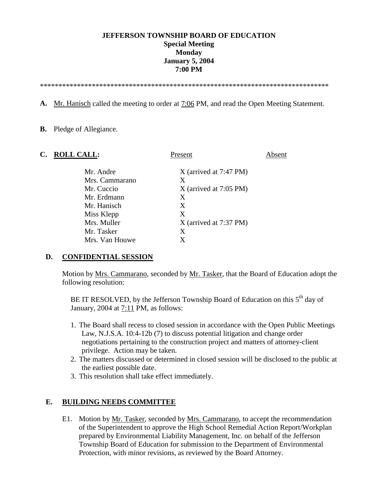# **JEFFERSON TOWNSHIP BOARD OF EDUCATION Special Meeting Monday January 5, 2004 7:00 PM**

\*\*\*\*\*\*\*\*\*\*\*\*\*\*\*\*\*\*\*\*\*\*\*\*\*\*\*\*\*\*\*\*\*\*\*\*\*\*\*\*\*\*\*\*\*\*\*\*\*\*\*\*\*\*\*\*\*\*\*\*\*\*\*\*\*\*\*\*\*\*\*\*\*\*\*\*\*\*

**A.** Mr. Hanisch called the meeting to order at 7:06 PM, and read the Open Meeting Statement.

#### **B.** Pledge of Allegiance.

| C. | <b>ROLL CALL:</b> | Present                  | Absent |  |
|----|-------------------|--------------------------|--------|--|
|    | Mr. Andre         | $X$ (arrived at 7:47 PM) |        |  |
|    | Mrs. Cammarano    | X                        |        |  |
|    | Mr. Cuccio        | $X$ (arrived at 7:05 PM) |        |  |
|    | Mr. Erdmann       | X                        |        |  |
|    | Mr. Hanisch       | X                        |        |  |
|    | Miss Klepp        | Χ                        |        |  |
|    | Mrs. Muller       | $X$ (arrived at 7:37 PM) |        |  |
|    | Mr. Tasker        | X                        |        |  |
|    | Mrs. Van Houwe    | X                        |        |  |
|    |                   |                          |        |  |

### **D. CONFIDENTIAL SESSION**

Motion by Mrs. Cammarano, seconded by Mr. Tasker, that the Board of Education adopt the following resolution:

BE IT RESOLVED, by the Jefferson Township Board of Education on this  $5<sup>th</sup>$  day of January, 2004 at 7:11 PM, as follows:

- 1. The Board shall recess to closed session in accordance with the Open Public Meetings Law, N.J.S.A. 10:4-12b (7) to discuss potential litigation and change order negotiations pertaining to the construction project and matters of attorney-client privilege. Action may be taken.
- 2. The matters discussed or determined in closed session will be disclosed to the public at the earliest possible date.
- 3. This resolution shall take effect immediately.

### **E. BUILDING NEEDS COMMITTEE**

E1. Motion by Mr. Tasker, seconded by Mrs. Cammarano, to accept the recommendation of the Superintendent to approve the High School Remedial Action Report/Workplan prepared by Environmental Liability Management, Inc. on behalf of the Jefferson Township Board of Education for submission to the Department of Environmental Protection, with minor revisions, as reviewed by the Board Attorney.